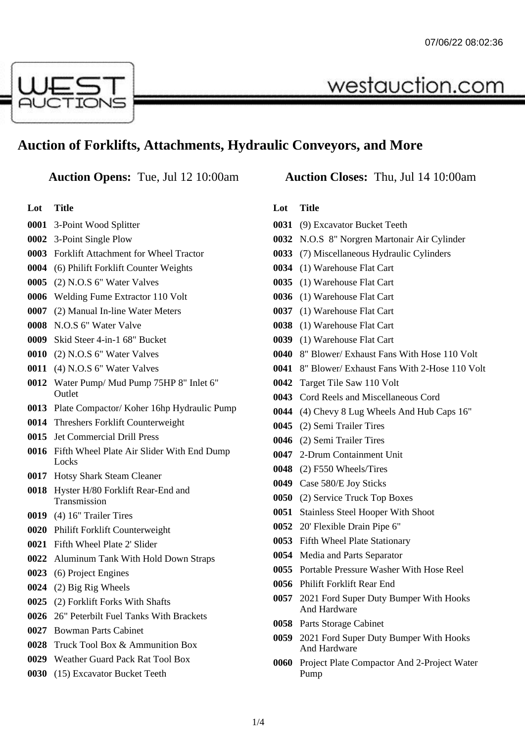

# **Auction of Forklifts, Attachments, Hydraulic Conveyors, and More**

**Lot Title**

- 3-Point Wood Splitter
- 3-Point Single Plow
- Forklift Attachment for Wheel Tractor
- (6) Philift Forklift Counter Weights
- (2) N.O.S 6" Water Valves
- Welding Fume Extractor 110 Volt
- (2) Manual In-line Water Meters
- N.O.S 6" Water Valve
- Skid Steer 4-in-1 68" Bucket
- (2) N.O.S 6" Water Valves
- (4) N.O.S 6" Water Valves
- Water Pump/ Mud Pump 75HP 8" Inlet 6" **Outlet**
- Plate Compactor/ Koher 16hp Hydraulic Pump
- Threshers Forklift Counterweight
- Jet Commercial Drill Press
- Fifth Wheel Plate Air Slider With End Dump **Locks**
- Hotsy Shark Steam Cleaner
- Hyster H/80 Forklift Rear-End and Transmission
- (4) 16" Trailer Tires
- Philift Forklift Counterweight
- Fifth Wheel Plate 2' Slider
- Aluminum Tank With Hold Down Straps
- (6) Project Engines
- (2) Big Rig Wheels
- (2) Forklift Forks With Shafts
- 26" Peterbilt Fuel Tanks With Brackets
- Bowman Parts Cabinet
- Truck Tool Box & Ammunition Box
- Weather Guard Pack Rat Tool Box
- (15) Excavator Bucket Teeth

# **Auction Opens:** Tue, Jul 12 10:00am **Auction Closes:** Thu, Jul 14 10:00am

westauction.com

#### **Lot Title**

- (9) Excavator Bucket Teeth
- N.O.S 8" Norgren Martonair Air Cylinder
- (7) Miscellaneous Hydraulic Cylinders
- (1) Warehouse Flat Cart
- (1) Warehouse Flat Cart
- (1) Warehouse Flat Cart
- (1) Warehouse Flat Cart
- (1) Warehouse Flat Cart
- (1) Warehouse Flat Cart
- 8" Blower/ Exhaust Fans With Hose 110 Volt
- 8" Blower/ Exhaust Fans With 2-Hose 110 Volt
- Target Tile Saw 110 Volt
- Cord Reels and Miscellaneous Cord
- (4) Chevy 8 Lug Wheels And Hub Caps 16"
- (2) Semi Trailer Tires
- (2) Semi Trailer Tires
- 2-Drum Containment Unit
- (2) F550 Wheels/Tires
- Case 580/E Joy Sticks
- (2) Service Truck Top Boxes
- Stainless Steel Hooper With Shoot
- 20' Flexible Drain Pipe 6"
- Fifth Wheel Plate Stationary
- Media and Parts Separator
- Portable Pressure Washer With Hose Reel
- Philift Forklift Rear End
- 2021 Ford Super Duty Bumper With Hooks And Hardware
- Parts Storage Cabinet
- 2021 Ford Super Duty Bumper With Hooks And Hardware
- Project Plate Compactor And 2-Project Water Pump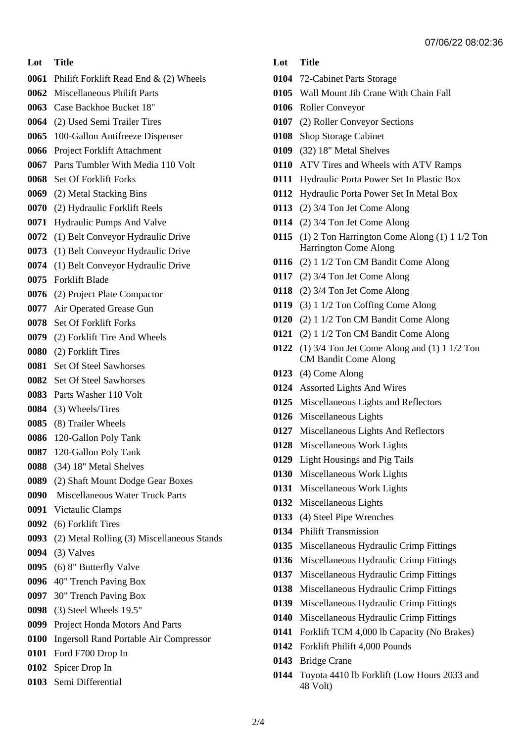# **Lot Title**

- Philift Forklift Read End & (2) Wheels
- Miscellaneous Philift Parts
- Case Backhoe Bucket 18"
- (2) Used Semi Trailer Tires
- 100-Gallon Antifreeze Dispenser
- Project Forklift Attachment
- Parts Tumbler With Media 110 Volt
- Set Of Forklift Forks
- (2) Metal Stacking Bins
- (2) Hydraulic Forklift Reels
- Hydraulic Pumps And Valve
- (1) Belt Conveyor Hydraulic Drive
- (1) Belt Conveyor Hydraulic Drive
- (1) Belt Conveyor Hydraulic Drive
- Forklift Blade
- (2) Project Plate Compactor
- Air Operated Grease Gun
- Set Of Forklift Forks
- (2) Forklift Tire And Wheels
- (2) Forklift Tires
- Set Of Steel Sawhorses
- Set Of Steel Sawhorses
- Parts Washer 110 Volt
- (3) Wheels/Tires
- (8) Trailer Wheels
- 120-Gallon Poly Tank
- 120-Gallon Poly Tank
- (34) 18" Metal Shelves
- (2) Shaft Mount Dodge Gear Boxes
- Miscellaneous Water Truck Parts
- Victaulic Clamps
- (6) Forklift Tires
- (2) Metal Rolling (3) Miscellaneous Stands
- (3) Valves
- (6) 8" Butterfly Valve
- 40" Trench Paving Box
- 30" Trench Paving Box
- (3) Steel Wheels 19.5"
- Project Honda Motors And Parts
- Ingersoll Rand Portable Air Compressor
- Ford F700 Drop In
- Spicer Drop In
- Semi Differential

# **Lot Title**

- 72-Cabinet Parts Storage
- Wall Mount Jib Crane With Chain Fall
- Roller Conveyor
- (2) Roller Conveyor Sections
- Shop Storage Cabinet
- (32) 18" Metal Shelves
- ATV Tires and Wheels with ATV Ramps
- Hydraulic Porta Power Set In Plastic Box
- Hydraulic Porta Power Set In Metal Box
- (2) 3/4 Ton Jet Come Along
- (2) 3/4 Ton Jet Come Along
- (1) 2 Ton Harrington Come Along (1) 1 1/2 Ton Harrington Come Along
- (2) 1 1/2 Ton CM Bandit Come Along
- (2) 3/4 Ton Jet Come Along
- (2) 3/4 Ton Jet Come Along
- (3) 1 1/2 Ton Coffing Come Along
- (2) 1 1/2 Ton CM Bandit Come Along
- (2) 1 1/2 Ton CM Bandit Come Along
- (1) 3/4 Ton Jet Come Along and (1) 1 1/2 Ton CM Bandit Come Along
- (4) Come Along
- Assorted Lights And Wires
- Miscellaneous Lights and Reflectors
- Miscellaneous Lights
- Miscellaneous Lights And Reflectors
- Miscellaneous Work Lights
- Light Housings and Pig Tails
- Miscellaneous Work Lights
- Miscellaneous Work Lights
- Miscellaneous Lights
- (4) Steel Pipe Wrenches
- Philift Transmission
- Miscellaneous Hydraulic Crimp Fittings
- Miscellaneous Hydraulic Crimp Fittings
- Miscellaneous Hydraulic Crimp Fittings
- Miscellaneous Hydraulic Crimp Fittings
- Miscellaneous Hydraulic Crimp Fittings
- Miscellaneous Hydraulic Crimp Fittings
- Forklift TCM 4,000 lb Capacity (No Brakes)
- Forklift Philift 4,000 Pounds
- Bridge Crane
- Toyota 4410 lb Forklift (Low Hours 2033 and 48 Volt)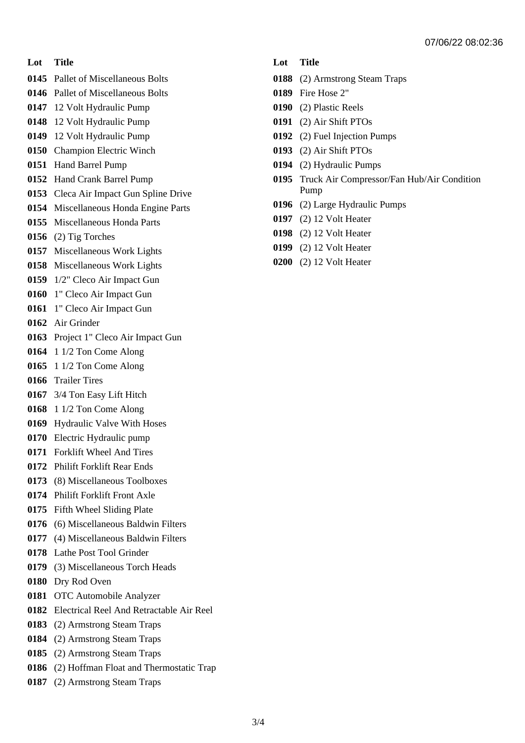#### **Lot Title**

- Pallet of Miscellaneous Bolts
- Pallet of Miscellaneous Bolts
- 12 Volt Hydraulic Pump
- 12 Volt Hydraulic Pump
- 12 Volt Hydraulic Pump
- Champion Electric Winch
- Hand Barrel Pump
- Hand Crank Barrel Pump
- Cleca Air Impact Gun Spline Drive
- Miscellaneous Honda Engine Parts
- Miscellaneous Honda Parts
- (2) Tig Torches
- Miscellaneous Work Lights
- Miscellaneous Work Lights
- 1/2" Cleco Air Impact Gun
- 1" Cleco Air Impact Gun
- 1" Cleco Air Impact Gun
- Air Grinder
- Project 1" Cleco Air Impact Gun
- 1 1/2 Ton Come Along
- 1 1/2 Ton Come Along
- Trailer Tires
- 3/4 Ton Easy Lift Hitch
- 1 1/2 Ton Come Along
- Hydraulic Valve With Hoses
- Electric Hydraulic pump
- Forklift Wheel And Tires
- Philift Forklift Rear Ends
- (8) Miscellaneous Toolboxes
- Philift Forklift Front Axle
- Fifth Wheel Sliding Plate
- (6) Miscellaneous Baldwin Filters
- (4) Miscellaneous Baldwin Filters
- Lathe Post Tool Grinder
- (3) Miscellaneous Torch Heads
- Dry Rod Oven
- OTC Automobile Analyzer
- Electrical Reel And Retractable Air Reel
- (2) Armstrong Steam Traps
- (2) Armstrong Steam Traps
- (2) Armstrong Steam Traps
- (2) Hoffman Float and Thermostatic Trap
- (2) Armstrong Steam Traps

#### **Lot Title**

- (2) Armstrong Steam Traps
- Fire Hose 2"
- (2) Plastic Reels
- (2) Air Shift PTOs
- (2) Fuel Injection Pumps
- (2) Air Shift PTOs
- (2) Hydraulic Pumps
- Truck Air Compressor/Fan Hub/Air Condition Pump
- (2) Large Hydraulic Pumps
- (2) 12 Volt Heater
- (2) 12 Volt Heater
- (2) 12 Volt Heater
- (2) 12 Volt Heater